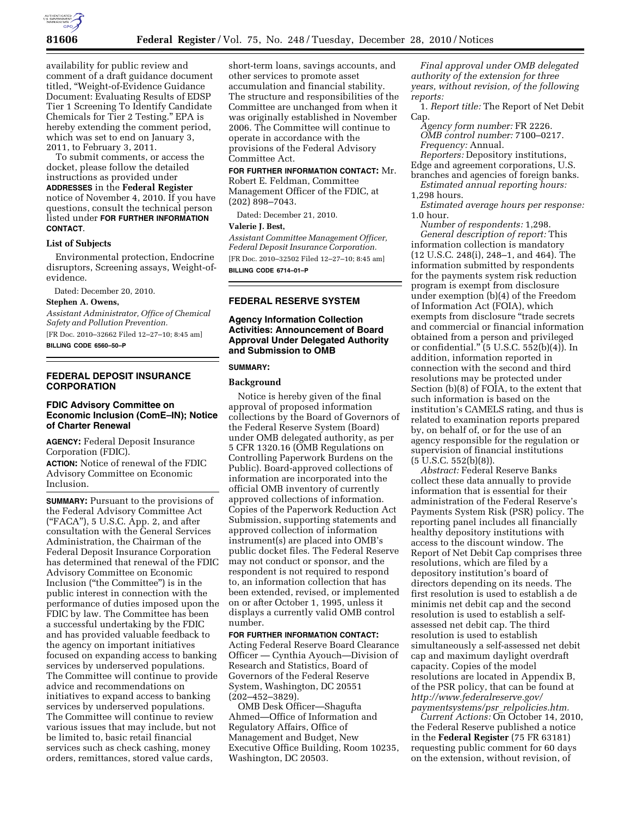

availability for public review and comment of a draft guidance document titled, ''Weight-of-Evidence Guidance Document: Evaluating Results of EDSP Tier 1 Screening To Identify Candidate Chemicals for Tier 2 Testing.'' EPA is hereby extending the comment period, which was set to end on January 3, 2011, to February 3, 2011.

To submit comments, or access the docket, please follow the detailed instructions as provided under **ADDRESSES** in the **Federal Register**  notice of November 4, 2010. If you have questions, consult the technical person listed under **FOR FURTHER INFORMATION CONTACT**.

### **List of Subjects**

Environmental protection, Endocrine disruptors, Screening assays, Weight-ofevidence.

Dated: December 20, 2010.

## **Stephen A. Owens,**

*Assistant Administrator, Office of Chemical Safety and Pollution Prevention.* 

[FR Doc. 2010–32662 Filed 12–27–10; 8:45 am] **BILLING CODE 6560–50–P** 

# **FEDERAL DEPOSIT INSURANCE CORPORATION**

## **FDIC Advisory Committee on Economic Inclusion (ComE–IN); Notice of Charter Renewal**

**AGENCY:** Federal Deposit Insurance Corporation (FDIC).

**ACTION:** Notice of renewal of the FDIC Advisory Committee on Economic Inclusion.

**SUMMARY:** Pursuant to the provisions of the Federal Advisory Committee Act (''FACA''), 5 U.S.C. App. 2, and after consultation with the General Services Administration, the Chairman of the Federal Deposit Insurance Corporation has determined that renewal of the FDIC Advisory Committee on Economic Inclusion (''the Committee'') is in the public interest in connection with the performance of duties imposed upon the FDIC by law. The Committee has been a successful undertaking by the FDIC and has provided valuable feedback to the agency on important initiatives focused on expanding access to banking services by underserved populations. The Committee will continue to provide advice and recommendations on initiatives to expand access to banking services by underserved populations. The Committee will continue to review various issues that may include, but not be limited to, basic retail financial services such as check cashing, money orders, remittances, stored value cards,

short-term loans, savings accounts, and other services to promote asset accumulation and financial stability. The structure and responsibilities of the Committee are unchanged from when it was originally established in November 2006. The Committee will continue to operate in accordance with the provisions of the Federal Advisory Committee Act.

**FOR FURTHER INFORMATION CONTACT:** Mr. Robert E. Feldman, Committee Management Officer of the FDIC, at (202) 898–7043.

Dated: December 21, 2010.

### **Valerie J. Best,**

*Assistant Committee Management Officer, Federal Deposit Insurance Corporation.*  [FR Doc. 2010–32502 Filed 12–27–10; 8:45 am] **BILLING CODE 6714–01–P** 

### **FEDERAL RESERVE SYSTEM**

## **Agency Information Collection Activities: Announcement of Board Approval Under Delegated Authority and Submission to OMB**

## **SUMMARY:**

#### **Background**

Notice is hereby given of the final approval of proposed information collections by the Board of Governors of the Federal Reserve System (Board) under OMB delegated authority, as per 5 CFR 1320.16 (OMB Regulations on Controlling Paperwork Burdens on the Public). Board-approved collections of information are incorporated into the official OMB inventory of currently approved collections of information. Copies of the Paperwork Reduction Act Submission, supporting statements and approved collection of information instrument(s) are placed into OMB's public docket files. The Federal Reserve may not conduct or sponsor, and the respondent is not required to respond to, an information collection that has been extended, revised, or implemented on or after October 1, 1995, unless it displays a currently valid OMB control number.

### **FOR FURTHER INFORMATION CONTACT:**

Acting Federal Reserve Board Clearance Officer — Cynthia Ayouch—Division of Research and Statistics, Board of Governors of the Federal Reserve System, Washington, DC 20551 (202–452–3829).

OMB Desk Officer—Shagufta Ahmed—Office of Information and Regulatory Affairs, Office of Management and Budget, New Executive Office Building, Room 10235, Washington, DC 20503.

*Final approval under OMB delegated authority of the extension for three years, without revision, of the following reports:* 

1. *Report title:* The Report of Net Debit Cap.

*Agency form number:* FR 2226. *OMB control number:* 7100–0217. *Frequency:* Annual.

*Reporters:* Depository institutions, Edge and agreement corporations, U.S.

branches and agencies of foreign banks. *Estimated annual reporting hours:* 

1,298 hours.

*Estimated average hours per response:*  1.0 hour.

*Number of respondents:* 1,298. *General description of report:* This information collection is mandatory (12 U.S.C. 248(i), 248–1, and 464). The information submitted by respondents for the payments system risk reduction program is exempt from disclosure under exemption (b)(4) of the Freedom of Information Act (FOIA), which exempts from disclosure ''trade secrets and commercial or financial information obtained from a person and privileged or confidential.'' (5 U.S.C. 552(b)(4)). In addition, information reported in connection with the second and third resolutions may be protected under Section (b)(8) of FOIA, to the extent that such information is based on the institution's CAMELS rating, and thus is related to examination reports prepared by, on behalf of, or for the use of an agency responsible for the regulation or supervision of financial institutions  $(5 \text{ U.S.C. } 552(\text{b})(8))$ .

*Abstract:* Federal Reserve Banks collect these data annually to provide information that is essential for their administration of the Federal Reserve's Payments System Risk (PSR) policy. The reporting panel includes all financially healthy depository institutions with access to the discount window. The Report of Net Debit Cap comprises three resolutions, which are filed by a depository institution's board of directors depending on its needs. The first resolution is used to establish a de minimis net debit cap and the second resolution is used to establish a selfassessed net debit cap. The third resolution is used to establish simultaneously a self-assessed net debit cap and maximum daylight overdraft capacity. Copies of the model resolutions are located in Appendix B, of the PSR policy, that can be found at *[http://www.federalreserve.gov/](http://www.federalreserve.gov/paymentsystems/psr_relpolicies.htm)  [paymentsystems/psr](http://www.federalreserve.gov/paymentsystems/psr_relpolicies.htm)*\_*relpolicies.htm.* 

*Current Actions:* On October 14, 2010, the Federal Reserve published a notice in the **Federal Register** (75 FR 63181) requesting public comment for 60 days on the extension, without revision, of